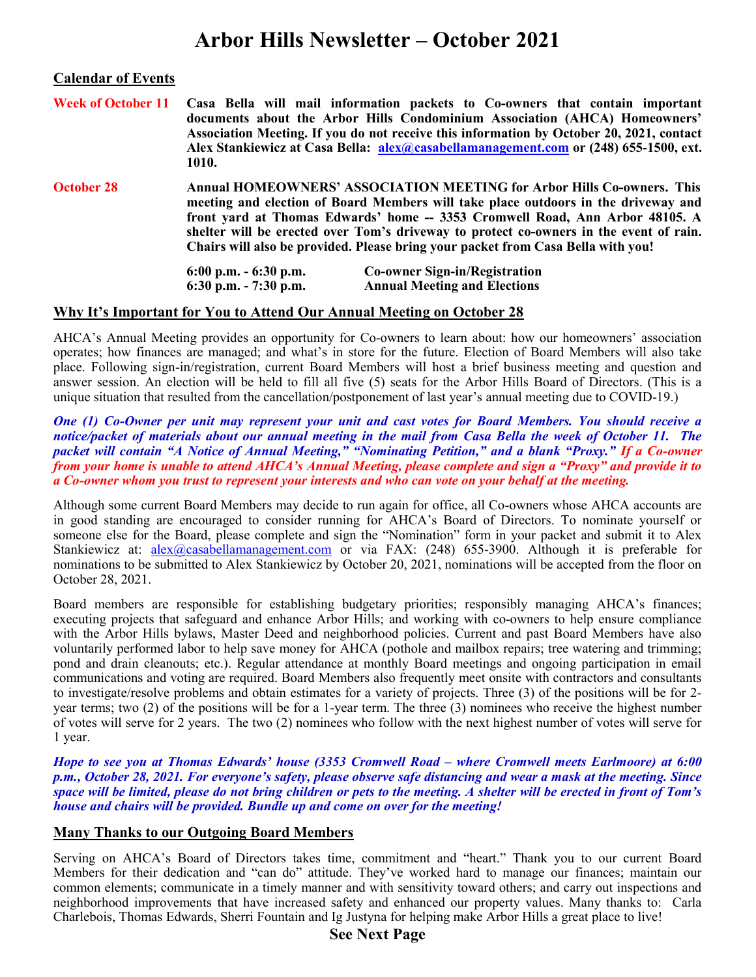# Arbor Hills Newsletter – October 2021

#### Calendar of Events

|                   | 1010.                                                                                                                                                                                                                                                                                                                                                                                                                      | Week of October 11 Casa Bella will mail information packets to Co-owners that contain important<br>documents about the Arbor Hills Condominium Association (AHCA) Homeowners'<br>Association Meeting. If you do not receive this information by October 20, 2021, contact<br>Alex Stankiewicz at Casa Bella: alex@casabellamanagement.com or (248) 655-1500, ext. |
|-------------------|----------------------------------------------------------------------------------------------------------------------------------------------------------------------------------------------------------------------------------------------------------------------------------------------------------------------------------------------------------------------------------------------------------------------------|-------------------------------------------------------------------------------------------------------------------------------------------------------------------------------------------------------------------------------------------------------------------------------------------------------------------------------------------------------------------|
| <b>October 28</b> | Annual HOMEOWNERS' ASSOCIATION MEETING for Arbor Hills Co-owners. This<br>meeting and election of Board Members will take place outdoors in the driveway and<br>front yard at Thomas Edwards' home -- 3353 Cromwell Road, Ann Arbor 48105. A<br>shelter will be erected over Tom's driveway to protect co-owners in the event of rain.<br>Chairs will also be provided. Please bring your packet from Casa Bella with you! |                                                                                                                                                                                                                                                                                                                                                                   |
|                   | $6:00$ p.m. $-6:30$ p.m.<br>$6:30$ p.m. $-7:30$ p.m.                                                                                                                                                                                                                                                                                                                                                                       | <b>Co-owner Sign-in/Registration</b><br><b>Annual Meeting and Elections</b>                                                                                                                                                                                                                                                                                       |

#### Why It's Important for You to Attend Our Annual Meeting on October 28

AHCA's Annual Meeting provides an opportunity for Co-owners to learn about: how our homeowners' association operates; how finances are managed; and what's in store for the future. Election of Board Members will also take place. Following sign-in/registration, current Board Members will host a brief business meeting and question and answer session. An election will be held to fill all five (5) seats for the Arbor Hills Board of Directors. (This is a unique situation that resulted from the cancellation/postponement of last year's annual meeting due to COVID-19.)

One (1) Co-Owner per unit may represent your unit and cast votes for Board Members. You should receive a notice/packet of materials about our annual meeting in the mail from Casa Bella the week of October 11. The packet will contain "A Notice of Annual Meeting," "Nominating Petition," and a blank "Proxy." If a Co-owner from your home is unable to attend AHCA's Annual Meeting, please complete and sign a "Proxy" and provide it to a Co-owner whom you trust to represent your interests and who can vote on your behalf at the meeting.

Although some current Board Members may decide to run again for office, all Co-owners whose AHCA accounts are in good standing are encouraged to consider running for AHCA's Board of Directors. To nominate yourself or someone else for the Board, please complete and sign the "Nomination" form in your packet and submit it to Alex Stankiewicz at: alex@casabellamanagement.com or via FAX: (248) 655-3900. Although it is preferable for nominations to be submitted to Alex Stankiewicz by October 20, 2021, nominations will be accepted from the floor on October 28, 2021.

Board members are responsible for establishing budgetary priorities; responsibly managing AHCA's finances; executing projects that safeguard and enhance Arbor Hills; and working with co-owners to help ensure compliance with the Arbor Hills bylaws, Master Deed and neighborhood policies. Current and past Board Members have also voluntarily performed labor to help save money for AHCA (pothole and mailbox repairs; tree watering and trimming; pond and drain cleanouts; etc.). Regular attendance at monthly Board meetings and ongoing participation in email communications and voting are required. Board Members also frequently meet onsite with contractors and consultants to investigate/resolve problems and obtain estimates for a variety of projects. Three (3) of the positions will be for 2 year terms; two (2) of the positions will be for a 1-year term. The three (3) nominees who receive the highest number of votes will serve for 2 years. The two (2) nominees who follow with the next highest number of votes will serve for 1 year.

Hope to see you at Thomas Edwards' house (3353 Cromwell Road – where Cromwell meets Earlmoore) at 6:00 p.m., October 28, 2021. For everyone's safety, please observe safe distancing and wear a mask at the meeting. Since space will be limited, please do not bring children or pets to the meeting. A shelter will be erected in front of Tom's house and chairs will be provided. Bundle up and come on over for the meeting!

# Many Thanks to our Outgoing Board Members

Serving on AHCA's Board of Directors takes time, commitment and "heart." Thank you to our current Board Members for their dedication and "can do" attitude. They've worked hard to manage our finances; maintain our common elements; communicate in a timely manner and with sensitivity toward others; and carry out inspections and neighborhood improvements that have increased safety and enhanced our property values. Many thanks to: Carla Charlebois, Thomas Edwards, Sherri Fountain and Ig Justyna for helping make Arbor Hills a great place to live!

# See Next Page